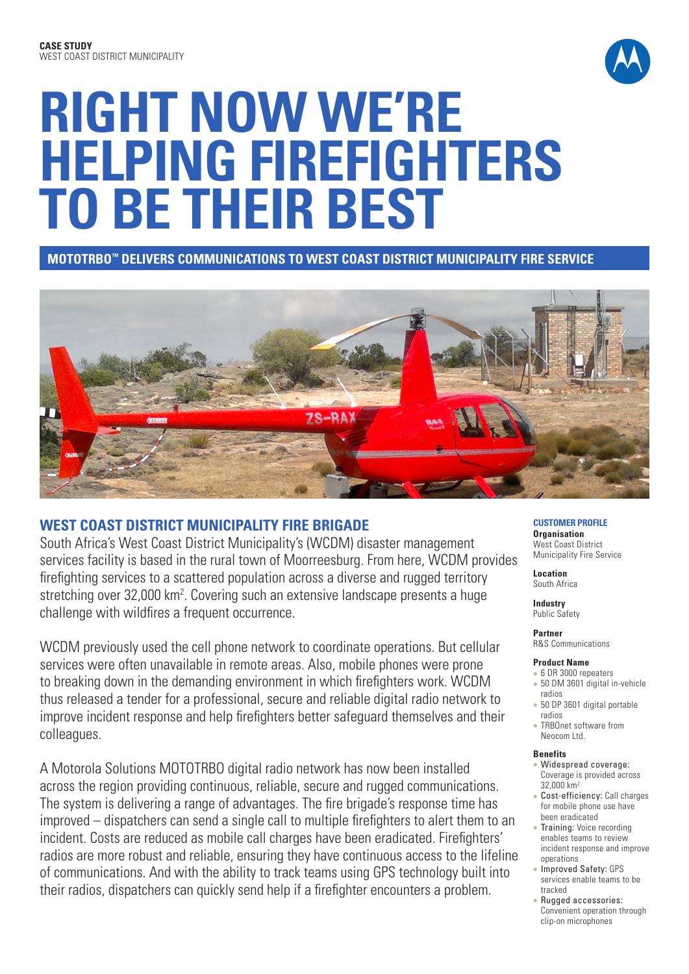

# **RIGHT NOW WE'RE HELPING FIREFIGHTERS TO BE THEIR BEST**

**MOTOTRBO™ DELIVERS COMMUNICATIONS TO WEST COAST DISTRICT MUNICIPALITY FIRE SERVICE**



# **WEST COAST DISTRICT MUNICIPALITY FIRE BRIGADE**

South Africa's West Coast District Municipality's (WCDM) disaster management services facility is based in the rural town of Moorreesburg. From here, WCDM provides firefighting services to a scattered population across a diverse and rugged territory stretching over 32,000 km<sup>2</sup>. Covering such an extensive landscape presents a huge challenge with wildfires a frequent occurrence.

WCDM previously used the cell phone network to coordinate operations. But cellular services were often unavailable in remote areas. Also, mobile phones were prone to breaking down in the demanding environment in which firefighters work. WCDM thus released a tender for a professional, secure and reliable digital radio network to improve incident response and help firefighters better safeguard themselves and their colleagues.

A Motorola Solutions MOTOTRBO digital radio network has now been installed across the region providing continuous, reliable, secure and rugged communications. The system is delivering a range of advantages. The fire brigade's response time has improved – dispatchers can send a single call to multiple firefighters to alert them to an incident. Costs are reduced as mobile call charges have been eradicated. Firefighters' radios are more robust and reliable, ensuring they have continuous access to the lifeline of communications. And with the ability to track teams using GPS technology built into their radios, dispatchers can quickly send help if a firefighter encounters a problem.

**CUSTOMER PROFILE Organisation**  West Coast District Municipality Fire Service

**Location** South Africa

**Industry** Public Safety

#### **Partner**  R&S Communications

# **Product Name**

- 6 DR 3000 repeaters
- 50 DM 3601 digital in-vehicle radios
- 50 DP 3601 digital portable radios
- TRBOnet software from Neocom Ltd.

#### **Benefits**

- Widespread coverage: Coverage is provided across 32,000 km2
- Cost-efficiency: Call charges for mobile phone use have been eradicated
- Training: Voice recording enables teams to review incident response and improve operations
- Improved Safety: GPS services enable teams to be tracked
- **Rugged accessories:** Convenient operation through clip-on microphones